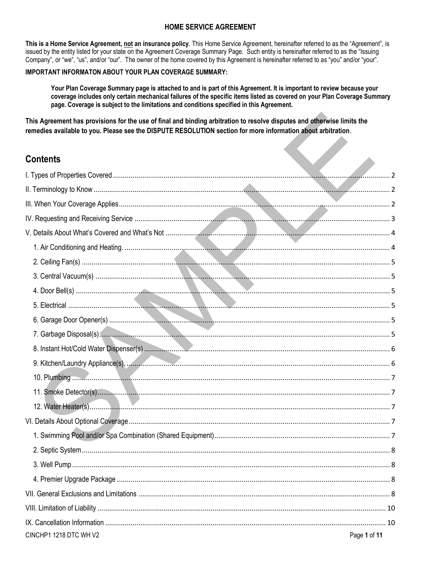## **HOME SERVICE AGREEMENT**

This is a Home Service Agreement, not an insurance policy. This Home Service Agreement, hereinafter referred to as the "Agreement", is issued by the entity listed for your state on the Agreement Coverage Summary Page. Such entity is hereinafter referred to as the "Issuing Company", or "we", "us", and/or "our". The owner of the home covered by this Agreement is hereinafter referred to as "you" and/or "your".

## IMPORTANT INFORMATON ABOUT YOUR PLAN COVERAGE SUMMARY:

Your Plan Coverage Summary page is attached to and is part of this Agreement. It is important to review because your coverage includes only certain mechanical failures of the specific items listed as covered on your Plan Coverage Summary page. Coverage is subject to the limitations and conditions specified in this Agreement.

This Agreement has provisions for the use of final and binding arbitration to resolve disputes and otherwise limits the remedies available to you. Please see the DISPUTE RESOLUTION section for more information about arbitration.

# **Contents**

| <b>Contents</b>        |              |
|------------------------|--------------|
|                        |              |
|                        |              |
|                        |              |
|                        |              |
|                        |              |
|                        |              |
|                        |              |
|                        |              |
|                        |              |
|                        |              |
|                        |              |
|                        |              |
|                        |              |
|                        |              |
|                        |              |
|                        |              |
|                        |              |
|                        |              |
|                        |              |
|                        |              |
|                        |              |
|                        |              |
|                        |              |
|                        |              |
|                        |              |
| CINCHP1 1218 DTC WH V2 | Page 1 of 11 |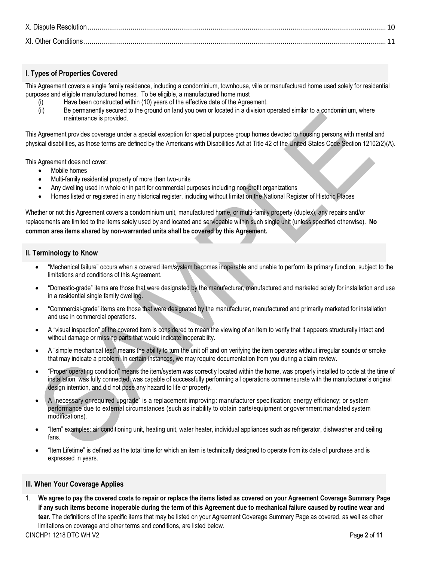| X. Dispute Resolution |  |
|-----------------------|--|
| XI. Other Conditions  |  |

## <span id="page-1-0"></span>**I. Types of Properties Covered**

This Agreement covers a single family residence, including a condominium, townhouse, villa or manufactured home used solely for residential purposes and eligible manufactured homes. To be eligible, a manufactured home must

- (i) Have been constructed within (10) years of the effective date of the Agreement.
- (ii) Be permanently secured to the ground on land you own or located in a division operated similar to a condominium, where maintenance is provided.

This Agreement provides coverage under a special exception for special purpose group homes devoted to housing persons with mental and physical disabilities, as those terms are defined by the Americans with Disabilities Act at Title 42 of the United States Code Section 12102(2)(A).

This Agreement does not cover:

- Mobile homes
- Multi-family residential property of more than two-units
- Any dwelling used in whole or in part for commercial purposes including non-profit organizations
- Homes listed or registered in any historical register, including without limitation the National Register of Historic Places

Whether or not this Agreement covers a condominium unit, manufactured home, or multi-family property (duplex), any repairs and/or replacements are limited to the items solely used by and located and serviceable within such single unit (unless specified otherwise). **No common area items shared by non-warranted units shall be covered by this Agreement.**

## <span id="page-1-1"></span>**II. Terminology to Know**

- "Mechanical failure" occurs when a covered item/system becomes inoperable and unable to perform its primary function, subject to the limitations and conditions of this Agreement.
- "Domestic-grade" items are those that were designated by the manufacturer, manufactured and marketed solely for installation and use in a residential single family dwelling.
- "Commercial-grade" items are those that were designated by the manufacturer, manufactured and primarily marketed for installation and use in commercial operations.
- A "visual inspection" of the covered item is considered to mean the viewing of an item to verify that it appears structurally intact and without damage or missing parts that would indicate inoperability.
- A "simple mechanical test" means the ability to turn the unit off and on verifying the item operates without irregular sounds or smoke that may indicate a problem. In certain instances, we may require documentation from you during a claim review.
- "Proper operating condition" means the item/system was correctly located within the home, was properly installed to code at the time of installation, was fully connected, was capable of successfully performing all operations commensurate with the manufacturer's original design intention, and did not pose any hazard to life or property.
- A "necessary or required upgrade" is a replacement improving: manufacturer specification; energy efficiency; or system performance due to external circumstances (such as inability to obtain parts/equipment or government mandated system modifications).
- "Item" examples: air conditioning unit, heating unit, water heater, individual appliances such as refrigerator, dishwasher and ceiling fans.
- "Item Lifetime" is defined as the total time for which an item is technically designed to operate from its date of purchase and is expressed in years.

## <span id="page-1-2"></span>**III. When Your Coverage Applies**

1. **We agree to pay the covered costs to repair or replace the items listed as covered on your Agreement Coverage Summary Page if any such items become inoperable during the term of this Agreement due to mechanical failure caused by routine wear and tear.** The definitions of the specific items that may be listed on your Agreement Coverage Summary Page as covered, as well as other limitations on coverage and other terms and conditions, are listed below.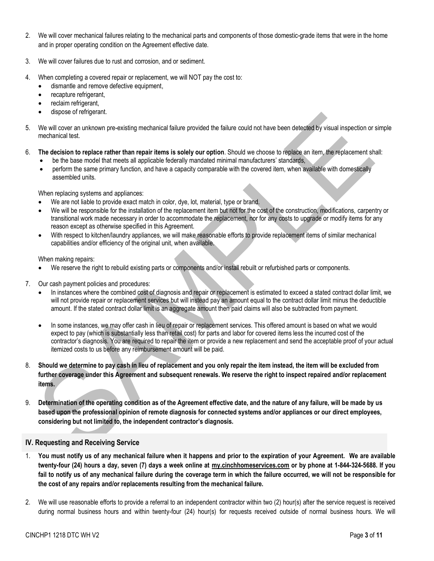- 2. We will cover mechanical failures relating to the mechanical parts and components of those domestic-grade items that were in the home and in proper operating condition on the Agreement effective date.
- 3. We will cover failures due to rust and corrosion, and or sediment.
- 4. When completing a covered repair or replacement, we will NOT pay the cost to:
	- dismantle and remove defective equipment,
	- recapture refrigerant,
	- reclaim refrigerant,
	- dispose of refrigerant.
- 5. We will cover an unknown pre-existing mechanical failure provided the failure could not have been detected by visual inspection or simple mechanical test.
- 6. **The decision to replace rather than repair items is solely our option**. Should we choose to replace an item, the replacement shall:
	- be the base model that meets all applicable federally mandated minimal manufacturers' standards,
	- perform the same primary function, and have a capacity comparable with the covered item, when available with domestically assembled units.

When replacing systems and appliances:

- We are not liable to provide exact match in color, dye, lot, material, type or brand.
- We will be responsible for the installation of the replacement item but not for the cost of the construction, modifications, carpentry or transitional work made necessary in order to accommodate the replacement, nor for any costs to upgrade or modify items for any reason except as otherwise specified in this Agreement.
- With respect to kitchen/laundry appliances, we will make reasonable efforts to provide replacement items of similar mechanical capabilities and/or efficiency of the original unit, when available.

When making repairs:

- We reserve the right to rebuild existing parts or components and/or install rebuilt or refurbished parts or components.
- 7. Our cash payment policies and procedures:
	- In instances where the combined cost of diagnosis and repair or replacement is estimated to exceed a stated contract dollar limit, we will not provide repair or replacement services but will instead pay an amount equal to the contract dollar limit minus the deductible amount. If the stated contract dollar limit is an aggregate amount then paid claims will also be subtracted from payment.
	- In some instances, we may offer cash in lieu of repair or replacement services. This offered amount is based on what we would expect to pay (which is substantially less than retail cost) for parts and labor for covered items less the incurred cost of the contractor's diagnosis. You are required to repair the item or provide a new replacement and send the acceptable proof of your actual itemized costs to us before any reimbursement amount will be paid.
- 8. **Should we determine to pay cash in lieu of replacement and you only repair the item instead, the item will be excluded from further coverage under this Agreement and subsequent renewals. We reserve the right to inspect repaired and/or replacement items.**
- 9. **Determination of the operating condition as of the Agreement effective date, and the nature of any failure, will be made by us based upon the professional opinion of remote diagnosis for connected systems and/or appliances or our direct employees, considering but not limited to, the independent contractor's diagnosis.**

## <span id="page-2-0"></span>**IV. Requesting and Receiving Service**

- 1. **You must notify us of any mechanical failure when it happens and prior to the expiration of your Agreement. We are available twenty-four (24) hours a day, seven (7) days a week online at [my.cinchhomeservices.com](http://www.x.com/) or by phone at 1-844-324-5688. If you fail to notify us of any mechanical failure during the coverage term in which the failure occurred, we will not be responsible for the cost of any repairs and/or replacements resulting from the mechanical failure.**
- 2. We will use reasonable efforts to provide a referral to an independent contractor within two (2) hour(s) after the service request is received during normal business hours and within twenty-four (24) hour(s) for requests received outside of normal business hours. We will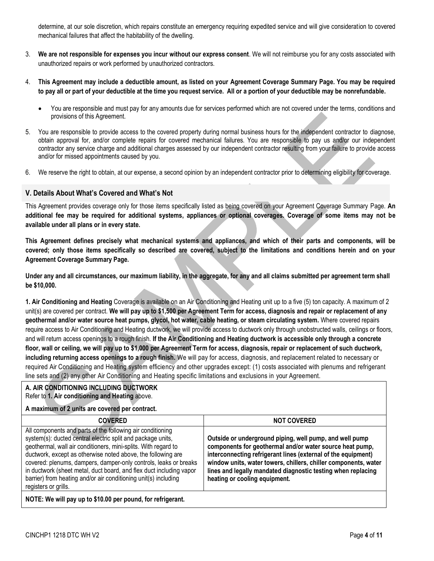determine, at our sole discretion, which repairs constitute an emergency requiring expedited service and will give consideration to covered mechanical failures that affect the habitability of the dwelling.

- 3. **We are not responsible for expenses you incur without our express consent**. We will not reimburse you for any costs associated with unauthorized repairs or work performed by unauthorized contractors.
- 4. **This Agreement may include a deductible amount, as listed on your Agreement Coverage Summary Page. You may be required to pay all or part of your deductible at the time you request service. All or a portion of your deductible may be nonrefundable.**
	- You are responsible and must pay for any amounts due for services performed which are not covered under the terms, conditions and provisions of this Agreement.
- 5. You are responsible to provide access to the covered property during normal business hours for the independent contractor to diagnose, obtain approval for, and/or complete repairs for covered mechanical failures. You are responsible to pay us and/or our independent contractor any service charge and additional charges assessed by our independent contractor resulting from your failure to provide access and/or for missed appointments caused by you.
- 6. We reserve the right to obtain, at our expense, a second opinion by an independent contractor prior to determining eligibility for coverage.

## <span id="page-3-0"></span>**V. Details About What's Covered and What's Not**

This Agreement provides coverage only for those items specifically listed as being covered on your Agreement Coverage Summary Page. **An additional fee may be required for additional systems, appliances or optional coverages. Coverage of some items may not be available under all plans or in every state.**

**This Agreement defines precisely what mechanical systems and appliances, and which of their parts and components, will be covered; only those items specifically so described are covered, subject to the limitations and conditions herein and on your Agreement Coverage Summary Page.** 

**Under any and all circumstances, our maximum liability, in the aggregate, for any and all claims submitted per agreement term shall be \$10,000.**

<span id="page-3-1"></span>**1. Air Conditioning and Heating** Coverage is available on an Air Conditioning and Heating unit up to a five (5) ton capacity. A maximum of 2 unit(s) are covered per contract. **We will pay up to \$1,500 per Agreement Term for access, diagnosis and repair or replacement of any geothermal and/or water source heat pumps, glycol, hot water, cable heating, or steam circulating system.** Where covered repairs require access to Air Conditioning and Heating ductwork, we will provide access to ductwork only through unobstructed walls, ceilings or floors, and will return access openings to a rough finish. **If the Air Conditioning and Heating ductwork is accessible only through a concrete floor, wall or ceiling, we will pay up to \$1,000 per Agreement Term for access, diagnosis, repair or replacement of such ductwork, including returning access openings to a rough finish.** We will pay for access, diagnosis, and replacement related to necessary or required Air Conditioning and Heating system efficiency and other upgrades except: (1) costs associated with plenums and refrigerant line sets and (2) any other Air Conditioning and Heating specific limitations and exclusions in your Agreement.

## **A. AIR CONDITIONING INCLUDING DUCTWORK** Refer to **1. Air conditioning and Heating** above.

## **A maximum of 2 units are covered per contract.**

| <b>COVERED</b>                                                                                                                                                                                                                                                                                                                                                                                                                                                                                    | <b>NOT COVERED</b>                                                                                                                                                                                                                                                                                                                                       |
|---------------------------------------------------------------------------------------------------------------------------------------------------------------------------------------------------------------------------------------------------------------------------------------------------------------------------------------------------------------------------------------------------------------------------------------------------------------------------------------------------|----------------------------------------------------------------------------------------------------------------------------------------------------------------------------------------------------------------------------------------------------------------------------------------------------------------------------------------------------------|
| All components and parts of the following air conditioning<br>system(s): ducted central electric split and package units,<br>geothermal, wall air conditioners, mini-splits. With regard to<br>ductwork, except as otherwise noted above, the following are<br>covered: plenums, dampers, damper-only controls, leaks or breaks<br>in ductwork (sheet metal, duct board, and flex duct including vapor<br>barrier) from heating and/or air conditioning unit(s) including<br>registers or grills. | Outside or underground piping, well pump, and well pump<br>components for geothermal and/or water source heat pump,<br>interconnecting refrigerant lines (external of the equipment)<br>window units, water towers, chillers, chiller components, water<br>lines and legally mandated diagnostic testing when replacing<br>heating or cooling equipment. |
| $\begin{array}{ccc} \bullet & \bullet & \bullet & \bullet & \bullet & \bullet & \bullet \end{array}$                                                                                                                                                                                                                                                                                                                                                                                              |                                                                                                                                                                                                                                                                                                                                                          |

**NOTE: We will pay up to \$10.00 per pound, for refrigerant.**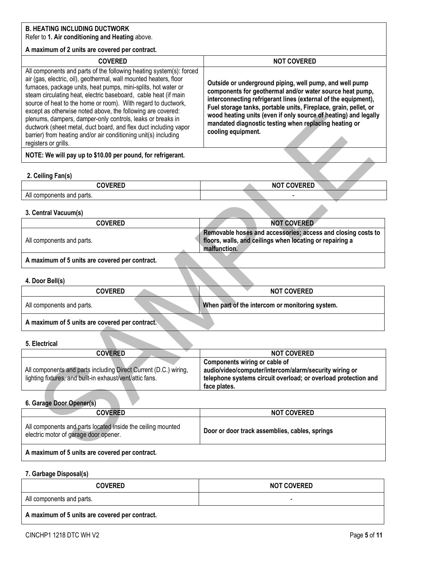## **B. HEATING INCLUDING DUCTWORK**

## Refer to **1. Air conditioning and Heating** above.

## **A maximum of 2 units are covered per contract.**

| <b>COVERED</b>                                                                                                                                                                                                                                                                                                                                                                                                                                                                                                                                                                                                                             | <b>NOT COVERED</b>                                                                                                                                                                                                                                                                                                                                                                                          |
|--------------------------------------------------------------------------------------------------------------------------------------------------------------------------------------------------------------------------------------------------------------------------------------------------------------------------------------------------------------------------------------------------------------------------------------------------------------------------------------------------------------------------------------------------------------------------------------------------------------------------------------------|-------------------------------------------------------------------------------------------------------------------------------------------------------------------------------------------------------------------------------------------------------------------------------------------------------------------------------------------------------------------------------------------------------------|
| All components and parts of the following heating system(s): forced<br>air (gas, electric, oil), geothermal, wall mounted heaters, floor<br>furnaces, package units, heat pumps, mini-splits, hot water or<br>steam circulating heat, electric baseboard, cable heat (if main<br>source of heat to the home or room). With regard to ductwork,<br>except as otherwise noted above, the following are covered:<br>plenums, dampers, damper-only controls, leaks or breaks in<br>ductwork (sheet metal, duct board, and flex duct including vapor<br>barrier) from heating and/or air conditioning unit(s) including<br>registers or grills. | Outside or underground piping, well pump, and well pump<br>components for geothermal and/or water source heat pump,<br>interconnecting refrigerant lines (external of the equipment),<br>Fuel storage tanks, portable units, Fireplace, grain, pellet, or<br>wood heating units (even if only source of heating) and legally<br>mandated diagnostic testing when replacing heating or<br>cooling equipment. |
| NOTE: We will pay up to \$10.00 per pound, for refrigerant.                                                                                                                                                                                                                                                                                                                                                                                                                                                                                                                                                                                |                                                                                                                                                                                                                                                                                                                                                                                                             |

## <span id="page-4-0"></span>**2. Ceiling Fan(s)**

| <b>OVEDED</b><br>◝◣▙                             | <b>NOT COVERED</b>       |
|--------------------------------------------------|--------------------------|
| $\sim$ $\sim$<br>components and parts.<br>All co | $\overline{\phantom{a}}$ |

#### <span id="page-4-1"></span>**3. Central Vacuum(s)**

| <b>COVERED</b>                                 | <b>NOT COVERED</b>                                                                                                                       |
|------------------------------------------------|------------------------------------------------------------------------------------------------------------------------------------------|
| All components and parts.                      | Removable hoses and accessories; access and closing costs to<br>floors, walls, and ceilings when locating or repairing a<br>malfunction. |
| A maximum of 5 units are covered per contract. |                                                                                                                                          |

# <span id="page-4-2"></span>**4. Door Bell(s)**

| <b>H. DOOL DEII(S)</b>                         |                                                 |
|------------------------------------------------|-------------------------------------------------|
| <b>COVERED</b>                                 | <b>NOT COVERED</b>                              |
| All components and parts.                      | When part of the intercom or monitoring system. |
| A maximum of 5 units are covered per contract. |                                                 |

## <span id="page-4-3"></span>**5. Electrical**

| <b>COVERED</b>                                                   | <b>NOT COVERED</b>                                             |
|------------------------------------------------------------------|----------------------------------------------------------------|
|                                                                  | Components wiring or cable of                                  |
| All components and parts including Direct Current (D.C.) wiring, | audio/video/computer/intercom/alarm/security wiring or         |
| lighting fixtures, and built-in exhaust/vent/attic fans.         | telephone systems circuit overload; or overload protection and |
|                                                                  | face plates.                                                   |

## <span id="page-4-4"></span>**6. Garage Door Opener(s)**

<span id="page-4-5"></span>**7. Garbage Disposal(s)**

| <b>COVERED</b>                                                                                       | <b>NOT COVERED</b>                             |
|------------------------------------------------------------------------------------------------------|------------------------------------------------|
| All components and parts located inside the ceiling mounted<br>electric motor of garage door opener. | Door or door track assemblies, cables, springs |
| A maximum of 5 units are covered per contract.                                                       |                                                |

| <b>COVERED</b>                                 | <b>NOT COVERED</b> |  |
|------------------------------------------------|--------------------|--|
| All components and parts.                      |                    |  |
| A maximum of 5 units are covered per contract. |                    |  |

CINCHP1 1218 DTC WH V2 Page **5** of **11**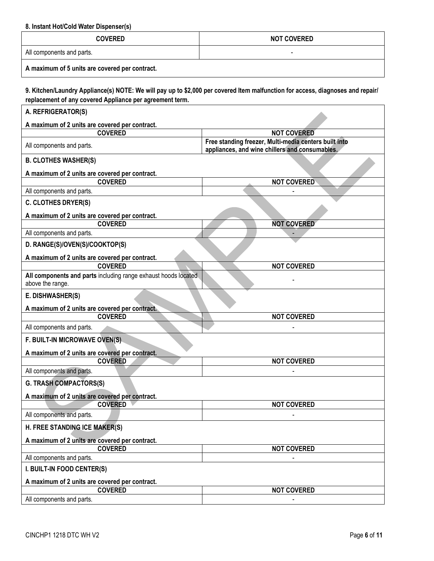<span id="page-5-0"></span>**8. Instant Hot/Cold Water Dispenser(s)**

| <b>COVERED</b>                                 | <b>NOT COVERED</b> |
|------------------------------------------------|--------------------|
| All components and parts.                      | -                  |
| A maximum of 5 units are covered per contract. |                    |

<span id="page-5-1"></span>**9. Kitchen/Laundry Appliance(s) NOTE: We will pay up to \$2,000 per covered Item malfunction for access, diagnoses and repair/ replacement of any covered Appliance per agreement term.**

| A. REFRIGERATOR(S)                                                                 |                                                                                                         |
|------------------------------------------------------------------------------------|---------------------------------------------------------------------------------------------------------|
| A maximum of 2 units are covered per contract.                                     |                                                                                                         |
| <b>COVERED</b>                                                                     | <b>NOT COVERED</b>                                                                                      |
| All components and parts.                                                          | Free standing freezer, Multi-media centers built into<br>appliances, and wine chillers and consumables. |
| <b>B. CLOTHES WASHER(S)</b>                                                        |                                                                                                         |
| A maximum of 2 units are covered per contract.                                     |                                                                                                         |
| <b>COVERED</b>                                                                     | <b>NOT COVERED</b>                                                                                      |
| All components and parts.                                                          |                                                                                                         |
| <b>C. CLOTHES DRYER(S)</b>                                                         |                                                                                                         |
| A maximum of 2 units are covered per contract.                                     |                                                                                                         |
| <b>COVERED</b>                                                                     | <b>NOT COVERED</b>                                                                                      |
| All components and parts.                                                          |                                                                                                         |
| D. RANGE(S)/OVEN(S)/COOKTOP(S)                                                     |                                                                                                         |
| A maximum of 2 units are covered per contract.                                     |                                                                                                         |
| <b>COVERED</b>                                                                     | <b>NOT COVERED</b>                                                                                      |
| All components and parts including range exhaust hoods located<br>above the range. |                                                                                                         |
| E. DISHWASHER(S)                                                                   |                                                                                                         |
| A maximum of 2 units are covered per contract.                                     |                                                                                                         |
| <b>COVERED</b>                                                                     | <b>NOT COVERED</b>                                                                                      |
| All components and parts.                                                          |                                                                                                         |
| F. BUILT-IN MICROWAVE OVEN(S)                                                      |                                                                                                         |
| A maximum of 2 units are covered per contract.                                     |                                                                                                         |
| <b>COVERED</b>                                                                     | <b>NOT COVERED</b>                                                                                      |
| All components and parts.                                                          |                                                                                                         |
| <b>G. TRASH COMPACTORS(S)</b>                                                      |                                                                                                         |
| A maximum of 2 units are covered per contract.                                     |                                                                                                         |
| <b>COVERED</b>                                                                     | <b>NOT COVERED</b>                                                                                      |
| All components and parts.                                                          |                                                                                                         |
| H. FREE STANDING ICE MAKER(S)                                                      |                                                                                                         |
| A maximum of 2 units are covered per contract.                                     |                                                                                                         |
| <b>COVERED</b>                                                                     | <b>NOT COVERED</b>                                                                                      |
| All components and parts.                                                          |                                                                                                         |
| I. BUILT-IN FOOD CENTER(S)                                                         |                                                                                                         |
| A maximum of 2 units are covered per contract.                                     |                                                                                                         |
| <b>COVERED</b>                                                                     | <b>NOT COVERED</b>                                                                                      |
| All components and parts.                                                          |                                                                                                         |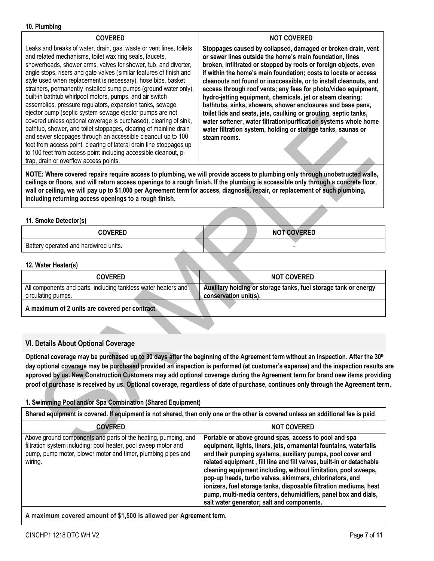#### <span id="page-6-0"></span>**10. Plumbing**

| <b>COVERED</b>                                                                                                                                                                                                                                                                                                                                                                                                                                                                                                                                                                                                                                                                                                                                                                                                                                                                                                                                                                                 | <b>NOT COVERED</b>                                                                                                                                                                                                                                                                                                                                                                                                                                                                                                                                                                                                                                                                                                                                         |
|------------------------------------------------------------------------------------------------------------------------------------------------------------------------------------------------------------------------------------------------------------------------------------------------------------------------------------------------------------------------------------------------------------------------------------------------------------------------------------------------------------------------------------------------------------------------------------------------------------------------------------------------------------------------------------------------------------------------------------------------------------------------------------------------------------------------------------------------------------------------------------------------------------------------------------------------------------------------------------------------|------------------------------------------------------------------------------------------------------------------------------------------------------------------------------------------------------------------------------------------------------------------------------------------------------------------------------------------------------------------------------------------------------------------------------------------------------------------------------------------------------------------------------------------------------------------------------------------------------------------------------------------------------------------------------------------------------------------------------------------------------------|
| Leaks and breaks of water, drain, gas, waste or vent lines, toilets<br>and related mechanisms, toilet wax ring seals, faucets,<br>showerheads, shower arms, valves for shower, tub, and diverter,<br>angle stops, risers and gate valves (similar features of finish and<br>style used when replacement is necessary), hose bibs, basket<br>strainers, permanently installed sump pumps (ground water only),<br>built-in bathtub whirlpool motors, pumps, and air switch<br>assemblies, pressure regulators, expansion tanks, sewage<br>ejector pump (septic system sewage ejector pumps are not<br>covered unless optional coverage is purchased), clearing of sink,<br>bathtub, shower, and toilet stoppages, clearing of mainline drain<br>and sewer stoppages through an accessible cleanout up to 100<br>feet from access point, clearing of lateral drain line stoppages up<br>to 100 feet from access point including accessible cleanout, p-<br>trap, drain or overflow access points. | Stoppages caused by collapsed, damaged or broken drain, vent<br>or sewer lines outside the home's main foundation, lines<br>broken, infiltrated or stopped by roots or foreign objects, even<br>if within the home's main foundation; costs to locate or access<br>cleanouts not found or inaccessible, or to install cleanouts, and<br>access through roof vents; any fees for photo/video equipment,<br>hydro-jetting equipment, chemicals, jet or steam clearing;<br>bathtubs, sinks, showers, shower enclosures and base pans,<br>toilet lids and seats, jets, caulking or grouting, septic tanks,<br>water softener, water filtration/purification systems whole home<br>water filtration system, holding or storage tanks, saunas or<br>steam rooms. |

**NOTE: Where covered repairs require access to plumbing, we will provide access to plumbing only through unobstructed walls, ceilings or floors, and will return access openings to a rough finish. If the plumbing is accessible only through a concrete floor, wall or ceiling, we will pay up to \$1,000 per Agreement term for access, diagnosis, repair, or replacement of such plumbing, including returning access openings to a rough finish.**

#### <span id="page-6-1"></span>**11. Smoke Detector(s)**

| <b>COVERED</b>                        | <b>NOT COVERED</b> |
|---------------------------------------|--------------------|
| Battery operated and hardwired units. |                    |

#### <span id="page-6-2"></span>**12. Water Heater(s)**

| <b>COVERED</b>                                                                       | <b>NOT COVERED</b>                                                                       |
|--------------------------------------------------------------------------------------|------------------------------------------------------------------------------------------|
| All components and parts, including tankless water heaters and<br>circulating pumps. | Auxiliary holding or storage tanks, fuel storage tank or energy<br>conservation unit(s). |
| A maximum of 2 units are covered per contract.                                       |                                                                                          |

**A maximum of 2 units are covered per contract.**

## <span id="page-6-3"></span>**VI. Details About Optional Coverage**

**Optional coverage may be purchased up to 30 days after the beginning of the Agreement term without an inspection. After the 30th day optional coverage may be purchased provided an inspection is performed (at customer's expense) and the inspection results are approved by us. New Construction Customers may add optional coverage during the Agreement term for brand new items providing proof of purchase is received by us. Optional coverage, regardless of date of purchase, continues only through the Agreement term.**

## <span id="page-6-4"></span>**1. Swimming Pool and/or Spa Combination (Shared Equipment)**

| Shared equipment is covered. If equipment is not shared, then only one or the other is covered unless an additional fee is paid.                                                                            |                                                                                                                                                                                                                                                                                                                                                                                                                                                                                                                                                                                    |  |
|-------------------------------------------------------------------------------------------------------------------------------------------------------------------------------------------------------------|------------------------------------------------------------------------------------------------------------------------------------------------------------------------------------------------------------------------------------------------------------------------------------------------------------------------------------------------------------------------------------------------------------------------------------------------------------------------------------------------------------------------------------------------------------------------------------|--|
| <b>COVERED</b>                                                                                                                                                                                              | <b>NOT COVERED</b>                                                                                                                                                                                                                                                                                                                                                                                                                                                                                                                                                                 |  |
| Above ground components and parts of the heating, pumping, and<br>filtration system including: pool heater, pool sweep motor and<br>pump, pump motor, blower motor and timer, plumbing pipes and<br>wiring. | Portable or above ground spas, access to pool and spa<br>equipment, lights, liners, jets, ornamental fountains, waterfalls<br>and their pumping systems, auxiliary pumps, pool cover and<br>related equipment, fill line and fill valves, built-in or detachable<br>cleaning equipment including, without limitation, pool sweeps,<br>pop-up heads, turbo valves, skimmers, chlorinators, and<br>ionizers, fuel storage tanks, disposable filtration mediums, heat<br>pump, multi-media centers, dehumidifiers, panel box and dials,<br>salt water generator; salt and components. |  |

**A maximum covered amount of \$1,500 is allowed per Agreement term.**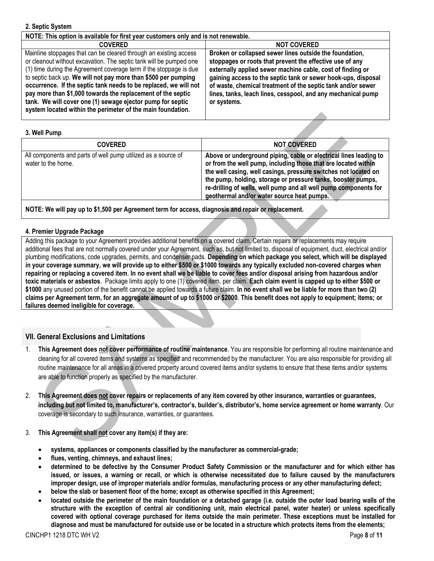#### <span id="page-7-0"></span>**2. Septic System**

| NOTE: This option is available for first year customers only and is not renewable. |                                                               |
|------------------------------------------------------------------------------------|---------------------------------------------------------------|
| <b>COVERED</b>                                                                     | <b>NOT COVERED</b>                                            |
| Mainline stoppages that can be cleared through an existing access                  | Broken or collapsed sewer lines outside the foundation,       |
| or cleanout without excavation. The septic tank will be pumped one                 | stoppages or roots that prevent the effective use of any      |
| (1) time during the Agreement coverage term if the stoppage is due                 | externally applied sewer machine cable, cost of finding or    |
| to septic back up. We will not pay more than \$500 per pumping                     | gaining access to the septic tank or sewer hook-ups, disposal |
| occurrence. If the septic tank needs to be replaced, we will not                   | of waste, chemical treatment of the septic tank and/or sewer  |
| pay more than \$1,000 towards the replacement of the septic                        | lines, tanks, leach lines, cesspool, and any mechanical pump  |
| tank. We will cover one (1) sewage ejector pump for septic                         | or systems.                                                   |
| system located within the perimeter of the main foundation.                        |                                                               |
|                                                                                    |                                                               |

#### <span id="page-7-1"></span>**3. Well Pump**

| <b>COVERED</b>                                                                      | <b>NOT COVERED</b>                                                                                                                                                                                                                                                                                                                                                                       |
|-------------------------------------------------------------------------------------|------------------------------------------------------------------------------------------------------------------------------------------------------------------------------------------------------------------------------------------------------------------------------------------------------------------------------------------------------------------------------------------|
| All components and parts of well pump utilized as a source of<br>water to the home. | Above or underground piping, cable or electrical lines leading to<br>or from the well pump, including those that are located within<br>the well casing, well casings, pressure switches not located on<br>the pump, holding, storage or pressure tanks, booster pumps,<br>re-drilling of wells, well pump and all well pump components for<br>geothermal and/or water source heat pumps. |
|                                                                                     |                                                                                                                                                                                                                                                                                                                                                                                          |

**NOTE: We will pay up to \$1,500 per Agreement term for access, diagnosis and repair or replacement.**

## <span id="page-7-2"></span>**4. Premier Upgrade Package**

Adding this package to your Agreement provides additional benefits on a covered claim. Certain repairs or replacements may require additional fees that are not normally covered under your Agreement, such as, but not limited to, disposal of equipment, duct, electrical and/or plumbing modifications, code upgrades, permits, and condenser pads. **Depending on which package you select, which will be displayed in your coverage summary, we will provide up to either \$500 or \$1000 towards any typically excluded non-covered charges when repairing or replacing a covered item**. **In no event shall we be liable to cover fees and/or disposal arising from hazardous and/or toxic materials or asbestos**. Package limits apply to one (1) covered item, per claim. **Each claim event is capped up to either \$500 or \$1000** any unused portion of the benefit cannot be applied towards a future claim. **In no event shall we be liable for more than two (2) claims per Agreement term, for an aggregate amount of up to \$1000 or \$2000**. **This benefit does not apply to equipment; items; or failures deemed ineligible for coverage.**

## <span id="page-7-3"></span>**VII. General Exclusions and Limitations**

- 1. **This Agreement does not cover performance of routine maintenance**. You are responsible for performing all routine maintenance and cleaning for all covered items and systems as specified and recommended by the manufacturer. You are also responsible for providing all routine maintenance for all areas in a covered property around covered items and/or systems to ensure that these items and/or systems are able to function properly as specified by the manufacturer.
- 2. **This Agreement does not cover repairs or replacements of any item covered by other insurance, warranties or guarantees, including but not limited to, manufacturer's, contractor's, builder's, distributor's, home service agreement or home warranty**. Our coverage is secondary to such insurance, warranties, or guarantees.
- 3. **This Agreement shall not cover any item(s) if they are:**
	- **systems, appliances or components classified by the manufacturer as commercial-grade;**
	- **flues, venting, chimneys, and exhaust lines;**
	- **determined to be defective by the Consumer Product Safety Commission or the manufacturer and for which either has issued, or issues, a warning or recall, or which is otherwise necessitated due to failure caused by the manufacturers improper design, use of improper materials and/or formulas, manufacturing process or any other manufacturing defect;**
	- **below the slab or basement floor of the home; except as otherwise specified in this Agreement;**
	- **located outside the perimeter of the main foundation or a detached garage (i.e. outside the outer load bearing walls of the structure with the exception of central air conditioning unit, main electrical panel, water heater) or unless specifically covered with optional coverage purchased for items outside the main perimeter. These exceptions must be installed for diagnose and must be manufactured for outside use or be located in a structure which protects items from the elements;**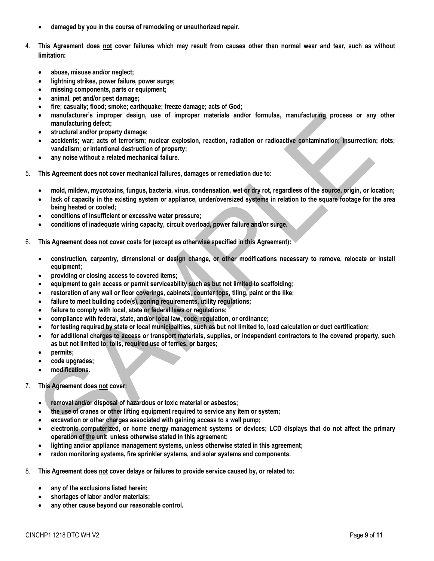- **damaged by you in the course of remodeling or unauthorized repair.**
- 4. **This Agreement does not cover failures which may result from causes other than normal wear and tear, such as without limitation:**
	- **abuse, misuse and/or neglect;**
	- **lightning strikes, power failure, power surge;**
	- **missing components, parts or equipment;**
	- **animal, pet and/or pest damage;**
	- **fire; casualty; flood; smoke; earthquake; freeze damage; acts of God;**
	- **manufacturer's improper design, use of improper materials and/or formulas, manufacturing process or any other manufacturing defect;**
	- **structural and/or property damage;**
	- **accidents; war; acts of terrorism; nuclear explosion, reaction, radiation or radioactive contamination; insurrection; riots; vandalism; or intentional destruction of property;**
	- **any noise without a related mechanical failure.**
- 5. **This Agreement does not cover mechanical failures, damages or remediation due to:**
	- **mold, mildew, mycotoxins, fungus, bacteria, virus, condensation, wet or dry rot, regardless of the source, origin, or location;**
	- **lack of capacity in the existing system or appliance, under/oversized systems in relation to the square footage for the area being heated or cooled;**
	- **conditions of insufficient or excessive water pressure;**
	- **conditions of inadequate wiring capacity, circuit overload, power failure and/or surge.**
- 6. **This Agreement does not cover costs for (except as otherwise specified in this Agreement):**
	- **construction, carpentry, dimensional or design change, or other modifications necessary to remove, relocate or install equipment;**
	- **providing or closing access to covered items;**
	- **equipment to gain access or permit serviceability such as but not limited to scaffolding;**
	- **restoration of any wall or floor coverings, cabinets, counter tops, tiling, paint or the like;**
	- **failure to meet building code(s), zoning requirements, utility regulations;**
	- **failure to comply with local, state or federal laws or regulations;**
	- **compliance with federal, state, and/or local law, code, regulation, or ordinance;**
	- **for testing required by state or local municipalities, such as but not limited to, load calculation or duct certification;**
	- **for additional charges to access or transport materials, supplies, or independent contractors to the covered property, such as but not limited to: tolls, required use of ferries, or barges;**
	- **permits;**
	- **code upgrades;**
	- **modifications.**
- 7. **This Agreement does not cover:**
	- **removal and/or disposal of hazardous or toxic material or asbestos;**
	- **the use of cranes or other lifting equipment required to service any item or system;**
	- **excavation or other charges associated with gaining access to a well pump;**
	- **electronic computerized, or home energy management systems or devices; LCD displays that do not affect the primary operation of the unit unless otherwise stated in this agreement;**
	- **lighting and/or appliance management systems, unless otherwise stated in this agreement;**
	- **radon monitoring systems, fire sprinkler systems, and solar systems and components.**
- 8. **This Agreement does not cover delays or failures to provide service caused by, or related to:**
	- **any of the exclusions listed herein;**
	- **shortages of labor and/or materials;**
	- **any other cause beyond our reasonable control.**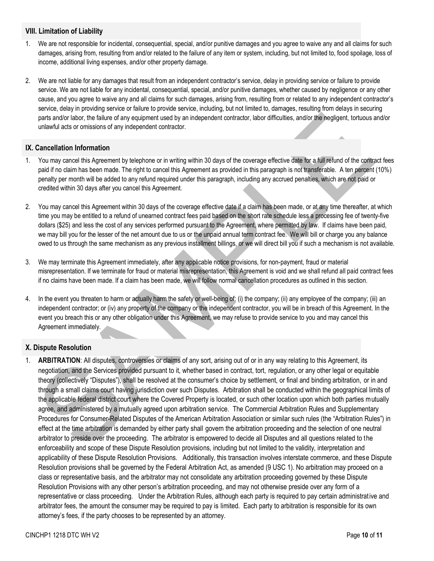## <span id="page-9-0"></span>**VIII. Limitation of Liability**

- 1. We are not responsible for incidental, consequential, special, and/or punitive damages and you agree to waive any and all claims for such damages, arising from, resulting from and/or related to the failure of any item or system, including, but not limited to, food spoilage, loss of income, additional living expenses, and/or other property damage.
- 2. We are not liable for any damages that result from an independent contractor's service, delay in providing service or failure to provide service. We are not liable for any incidental, consequential, special, and/or punitive damages, whether caused by negligence or any other cause, and you agree to waive any and all claims for such damages, arising from, resulting from or related to any independent contractor's service, delay in providing service or failure to provide service, including, but not limited to, damages, resulting from delays in securing parts and/or labor, the failure of any equipment used by an independent contractor, labor difficulties, and/or the negligent, tortuous and/or unlawful acts or omissions of any independent contractor.

## <span id="page-9-1"></span>**IX. Cancellation Information**

- 1. You may cancel this Agreement by telephone or in writing within 30 days of the coverage effective date for a full refund of the contract fees paid if no claim has been made. The right to cancel this Agreement as provided in this paragraph is not transferable. A ten percent (10%) penalty per month will be added to any refund required under this paragraph, including any accrued penalties, which are not paid or credited within 30 days after you cancel this Agreement.
- 2. You may cancel this Agreement within 30 days of the coverage effective date if a claim has been made, or at any time thereafter, at which time you may be entitled to a refund of unearned contract fees paid based on the short rate schedule less a processing fee of twenty-five dollars (\$25) and less the cost of any services performed pursuant to the Agreement, where permitted by law. If claims have been paid, we may bill you for the lesser of the net amount due to us or the unpaid annual term contract fee. We will bill or charge you any balance owed to us through the same mechanism as any previous installment billings, or we will direct bill you if such a mechanism is not available.
- 3. We may terminate this Agreement immediately, after any applicable notice provisions, for non-payment, fraud or material misrepresentation. If we terminate for fraud or material misrepresentation, this Agreement is void and we shall refund all paid contract fees if no claims have been made. If a claim has been made, we will follow normal cancellation procedures as outlined in this section.
- 4. In the event you threaten to harm or actually harm the safety or well-being of: (i) the company; (ii) any employee of the company; (iii) an independent contractor; or (iv) any property of the company or the independent contractor, you will be in breach of this Agreement. In the event you breach this or any other obligation under this Agreement, we may refuse to provide service to you and may cancel this Agreement immediately.

## <span id="page-9-2"></span>**X. Dispute Resolution**

1. **ARBITRATION**: All disputes, controversies or claims of any sort, arising out of or in any way relating to this Agreement, its negotiation, and the Services provided pursuant to it, whether based in contract, tort, regulation, or any other legal or equitable theory (collectively "Disputes"), shall be resolved at the consumer's choice by settlement, or final and binding arbitration, or in and through a small claims court having jurisdiction over such Disputes. Arbitration shall be conducted within the geographical limits of the applicable federal district court where the Covered Property is located, or such other location upon which both parties mutually agree, and administered by a mutually agreed upon arbitration service. The Commercial Arbitration Rules and Supplementary Procedures for Consumer-Related Disputes of the American Arbitration Association or similar such rules (the "Arbitration Rules") in effect at the time arbitration is demanded by either party shall govern the arbitration proceeding and the selection of one neutral arbitrator to preside over the proceeding. The arbitrator is empowered to decide all Disputes and all questions related to the enforceability and scope of these Dispute Resolution provisions, including but not limited to the validity, interpretation and applicability of these Dispute Resolution Provisions. Additionally, this transaction involves interstate commerce, and these Dispute Resolution provisions shall be governed by the Federal Arbitration Act, as amended (9 USC 1). No arbitration may proceed on a class or representative basis, and the arbitrator may not consolidate any arbitration proceeding governed by these Dispute Resolution Provisions with any other person's arbitration proceeding, and may not otherwise preside over any form of a representative or class proceeding. Under the Arbitration Rules, although each party is required to pay certain administrative and arbitrator fees, the amount the consumer may be required to pay is limited. Each party to arbitration is responsible for its own attorney's fees, if the party chooses to be represented by an attorney.